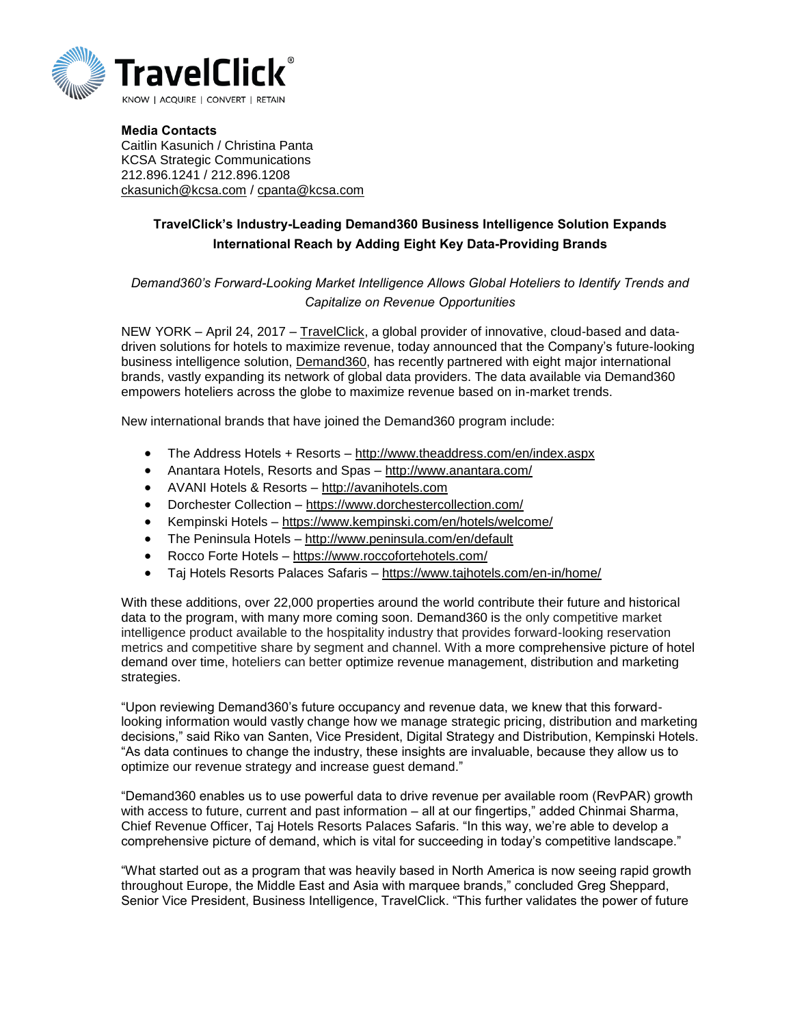

Media Contacts Caitlin Kasunich / Christina Panta KCSA Strategic Communications 212.896.1241 / 212.896.1208 [ckasunich@kcsa.com](mailto:ckasunich@kcsa.com) / [cpanta@kcsa.com](mailto:cpanta@kcsa.com)

## TravelClick's Industry-Leading Demand360 Business Intelligence Solution Expands International Reach by Adding Eight Key Data-Providing Brands

## *Demand360's Forward-Looking Market Intelligence Allows Global Hoteliers to Identify Trends and Capitalize on Revenue Opportunities*

NEW YORK – April 24, 2017 – [TravelClick,](http://www.travelclick.com/) a global provider of innovative, cloud-based and datadriven solutions for hotels to maximize revenue, today announced that the Company's future-looking business intelligence solution, [Demand360,](http://www.travelclick.com/en/product-services/business-intelligence-solutions/demand360) has recently partnered with eight major international brands, vastly expanding its network of global data providers. The data available via Demand360 empowers hoteliers across the globe to maximize revenue based on in-market trends.

New international brands that have joined the Demand360 program include:

- The Address Hotels + Resorts <http://www.theaddress.com/en/index.aspx>
- Anantara Hotels, Resorts and Spas <http://www.anantara.com/>
- AVANI Hotels & Resorts [http://avanihotels.com](http://avanihotels.com/)
- Dorchester Collection <https://www.dorchestercollection.com/>
- Kempinski Hotels <https://www.kempinski.com/en/hotels/welcome/>
- The Peninsula Hotels <http://www.peninsula.com/en/default>
- Rocco Forte Hotels <https://www.roccofortehotels.com/>
- Taj Hotels Resorts Palaces Safaris <https://www.tajhotels.com/en-in/home/>

With these additions, over 22,000 properties around the world contribute their future and historical data to the program, with many more coming soon. Demand360 is the only competitive market intelligence product available to the hospitality industry that provides forward-looking reservation metrics and competitive share by segment and channel. With a more comprehensive picture of hotel demand over time, hoteliers can better optimize revenue management, distribution and marketing strategies.

"Upon reviewing Demand360's future occupancy and revenue data, we knew that this forwardlooking information would vastly change how we manage strategic pricing, distribution and marketing decisions," said Riko van Santen, Vice President, Digital Strategy and Distribution, Kempinski Hotels. "As data continues to change the industry, these insights are invaluable, because they allow us to optimize our revenue strategy and increase guest demand."

"Demand360 enables us to use powerful data to drive revenue per available room (RevPAR) growth with access to future, current and past information – all at our fingertips," added Chinmai Sharma, Chief Revenue Officer, Taj Hotels Resorts Palaces Safaris. "In this way, we're able to develop a comprehensive picture of demand, which is vital for succeeding in today's competitive landscape."

"What started out as a program that was heavily based in North America is now seeing rapid growth throughout Europe, the Middle East and Asia with marquee brands," concluded Greg Sheppard, Senior Vice President, Business Intelligence, TravelClick. "This further validates the power of future